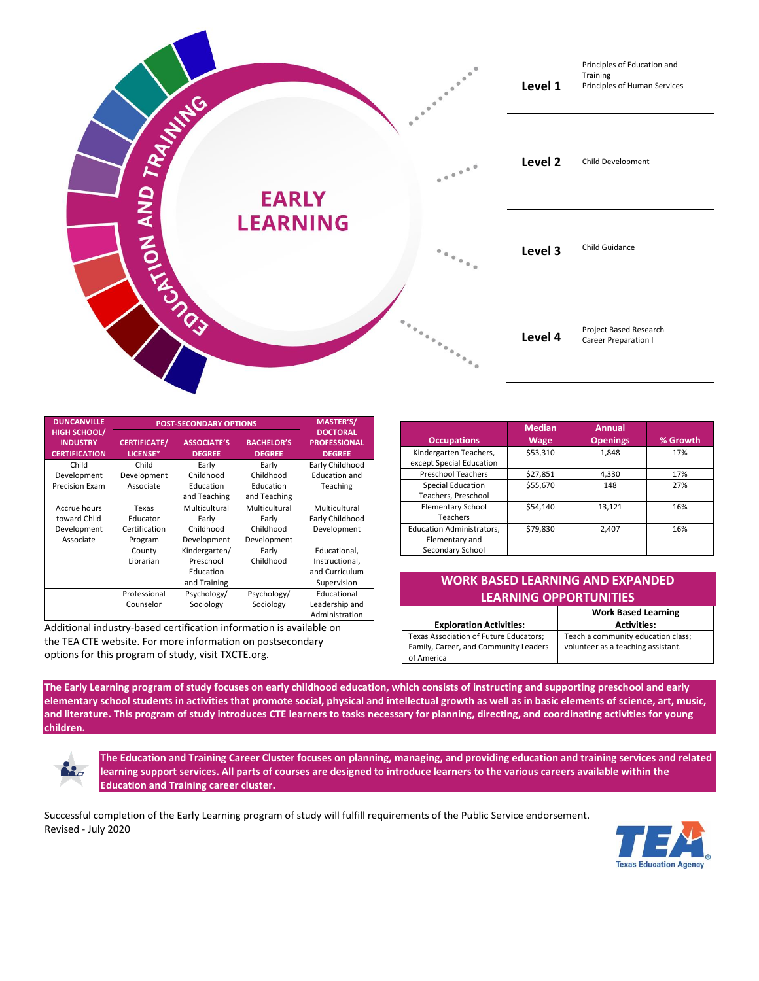

| <b>DUNCANVILLE</b>                                             | <b>POST-SECONDARY OPTIONS</b>   |                                     |                                    | <b>MASTER'S/</b>                                        |
|----------------------------------------------------------------|---------------------------------|-------------------------------------|------------------------------------|---------------------------------------------------------|
| <b>HIGH SCHOOL/</b><br><b>INDUSTRY</b><br><b>CERTIFICATION</b> | <b>CERTIFICATE/</b><br>LICENSE* | <b>ASSOCIATE'S</b><br><b>DEGREE</b> | <b>BACHELOR'S</b><br><b>DEGREE</b> | <b>DOCTORAL</b><br><b>PROFESSIONAL</b><br><b>DEGREE</b> |
| Child                                                          | Child                           | Early                               | Early                              | Early Childhood                                         |
| Development                                                    | Development                     | Childhood                           | Childhood                          | <b>Education and</b>                                    |
| <b>Precision Exam</b>                                          | Associate                       | Education                           | Education                          | Teaching                                                |
|                                                                |                                 | and Teaching                        | and Teaching                       |                                                         |
| Accrue hours                                                   | Texas                           | Multicultural                       | Multicultural                      | Multicultural                                           |
| toward Child                                                   | Educator                        | Early                               | Early                              | Early Childhood                                         |
| Development                                                    | Certification                   | Childhood                           | Childhood                          | Development                                             |
| Associate                                                      | Program                         | Development                         | Development                        |                                                         |
|                                                                | County                          | Kindergarten/                       | Early                              | Educational,                                            |
|                                                                | Librarian                       | Preschool                           | Childhood                          | Instructional,                                          |
|                                                                |                                 | Education                           |                                    | and Curriculum                                          |
|                                                                |                                 | and Training                        |                                    | Supervision                                             |
|                                                                | Professional                    | Psychology/                         | Psychology/                        | Educational                                             |
|                                                                | Counselor                       | Sociology                           | Sociology                          | Leadership and                                          |
|                                                                |                                 |                                     |                                    | Administration                                          |

Additional industry-based certification information is available on the TEA CTE website. For more information on postsecondary options for this program of study, visit TXCTE.org.

| <b>Occupations</b>                                                     | <b>Median</b><br><b>Wage</b> | <b>Annual</b><br><b>Openings</b> | % Growth |
|------------------------------------------------------------------------|------------------------------|----------------------------------|----------|
| Kindergarten Teachers,<br>except Special Education                     | \$53,310                     | 1,848                            | 17%      |
| <b>Preschool Teachers</b>                                              | \$27,851                     | 4,330                            | 17%      |
| <b>Special Education</b><br>Teachers, Preschool                        | \$55,670                     | 148                              | 27%      |
| <b>Elementary School</b><br><b>Teachers</b>                            | \$54.140                     | 13,121                           | 16%      |
| <b>Education Administrators,</b><br>Elementary and<br>Secondary School | \$79.830                     | 2.407                            | 16%      |

## **WORK BASED LEARNING AND EXPANDED LEARNING OPPORTUNITIES**

|                                        | <b>Work Based Learning</b>         |
|----------------------------------------|------------------------------------|
| <b>Exploration Activities:</b>         | <b>Activities:</b>                 |
| Texas Association of Future Educators; | Teach a community education class; |
| Family, Career, and Community Leaders  | volunteer as a teaching assistant. |
| of America                             |                                    |

**The Early Learning program of study focuses on early childhood education, which consists of instructing and supporting preschool and early elementary school students in activities that promote social, physical and intellectual growth as well as in basic elements of science, art, music, and literature. This program of study introduces CTE learners to tasks necessary for planning, directing, and coordinating activities for young children.**



**The Education and Training Career Cluster focuses on planning, managing, and providing education and training services and related learning support services. All parts of courses are designed to introduce learners to the various careers available within the Education and Training career cluster.**

Successful completion of the Early Learning program of study will fulfill requirements of the Public Service endorsement. Revised - July 2020